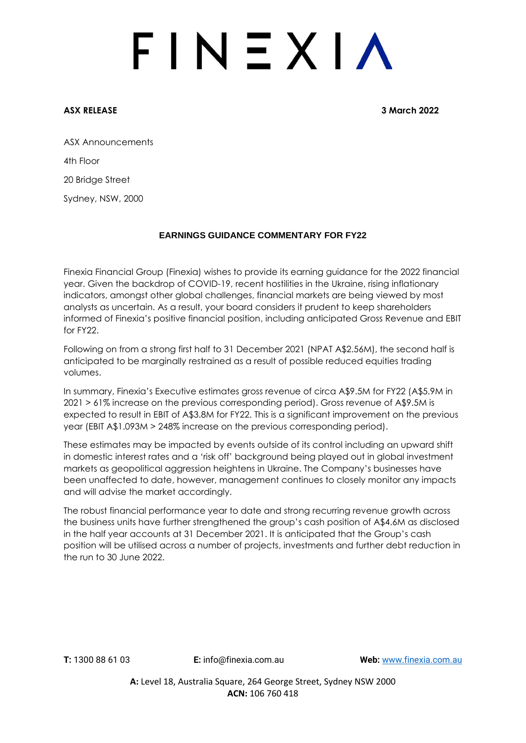# $FINEXIA$

**ASX RELEASE 3 March 2022**

ASX Announcements 4th Floor 20 Bridge Street

Sydney, NSW, 2000

### **EARNINGS GUIDANCE COMMENTARY FOR FY22**

Finexia Financial Group (Finexia) wishes to provide its earning guidance for the 2022 financial year. Given the backdrop of COVID-19, recent hostilities in the Ukraine, rising inflationary indicators, amongst other global challenges, financial markets are being viewed by most analysts as uncertain. As a result, your board considers it prudent to keep shareholders informed of Finexia's positive financial position, including anticipated Gross Revenue and EBIT for FY22.

Following on from a strong first half to 31 December 2021 (NPAT A\$2.56M), the second half is anticipated to be marginally restrained as a result of possible reduced equities trading volumes.

In summary, Finexia's Executive estimates gross revenue of circa A\$9.5M for FY22 (A\$5.9M in 2021 > 61% increase on the previous corresponding period). Gross revenue of A\$9.5M is expected to result in EBIT of A\$3.8M for FY22. This is a significant improvement on the previous year (EBIT A\$1.093M > 248% increase on the previous corresponding period).

These estimates may be impacted by events outside of its control including an upward shift in domestic interest rates and a 'risk off' background being played out in global investment markets as geopolitical aggression heightens in Ukraine. The Company's businesses have been unaffected to date, however, management continues to closely monitor any impacts and will advise the market accordingly.

The robust financial performance year to date and strong recurring revenue growth across the business units have further strengthened the group's cash position of A\$4.6M as disclosed in the half year accounts at 31 December 2021. It is anticipated that the Group's cash position will be utilised across a number of projects, investments and further debt reduction in the run to 30 June 2022.

**A:** Level 18, Australia Square, 264 George Street, Sydney NSW 2000 **ACN:** 106 760 418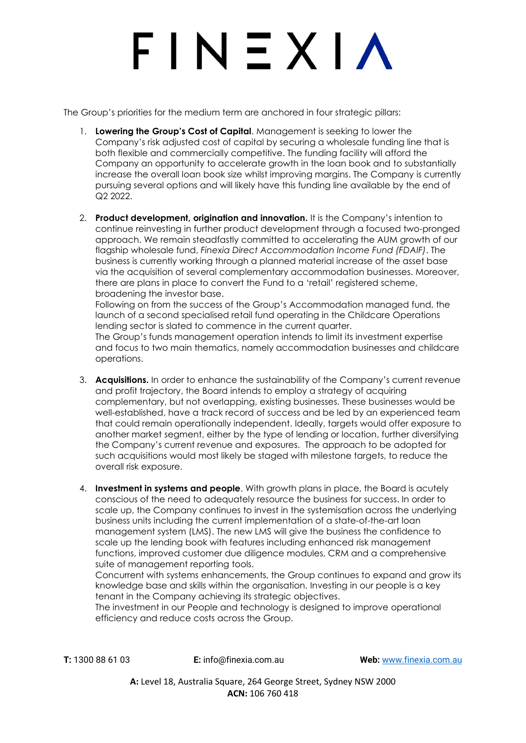# $F IN EXIA$

The Group's priorities for the medium term are anchored in four strategic pillars:

- 1. **Lowering the Group's Cost of Capital**. Management is seeking to lower the Company's risk adjusted cost of capital by securing a wholesale funding line that is both flexible and commercially competitive. The funding facility will afford the Company an opportunity to accelerate growth in the loan book and to substantially increase the overall loan book size whilst improving margins. The Company is currently pursuing several options and will likely have this funding line available by the end of Q2 2022.
- 2. **Product development, origination and innovation.** It is the Company's intention to continue reinvesting in further product development through a focused two-pronged approach. We remain steadfastly committed to accelerating the AUM growth of our flagship wholesale fund, *Finexia Direct Accommodation Income Fund (FDAIF)*. The business is currently working through a planned material increase of the asset base via the acquisition of several complementary accommodation businesses. Moreover, there are plans in place to convert the Fund to a 'retail' registered scheme, broadening the investor base.

Following on from the success of the Group's Accommodation managed fund, the launch of a second specialised retail fund operating in the Childcare Operations lending sector is slated to commence in the current quarter. The Group's funds management operation intends to limit its investment expertise

and focus to two main thematics, namely accommodation businesses and childcare operations.

- 3. **Acquisitions.** In order to enhance the sustainability of the Company's current revenue and profit trajectory, the Board intends to employ a strategy of acquiring complementary, but not overlapping, existing businesses. These businesses would be well-established, have a track record of success and be led by an experienced team that could remain operationally independent. Ideally, targets would offer exposure to another market segment, either by the type of lending or location, further diversifying the Company's current revenue and exposures. The approach to be adopted for such acquisitions would most likely be staged with milestone targets, to reduce the overall risk exposure.
- 4. **Investment in systems and people**. With growth plans in place, the Board is acutely conscious of the need to adequately resource the business for success. In order to scale up, the Company continues to invest in the systemisation across the underlying business units including the current implementation of a state-of-the-art loan management system (LMS). The new LMS will give the business the confidence to scale up the lending book with features including enhanced risk management functions, improved customer due diligence modules, CRM and a comprehensive suite of management reporting tools.

Concurrent with systems enhancements, the Group continues to expand and grow its knowledge base and skills within the organisation. Investing in our people is a key tenant in the Company achieving its strategic objectives.

The investment in our People and technology is designed to improve operational efficiency and reduce costs across the Group.

**T:** 1300 88 61 03 **E:** [info@finexia.com.au](mailto:info@finexia.com.au) **Web:** [www.finexia.com.au](http://www.finexia.com.au/)

**A:** Level 18, Australia Square, 264 George Street, Sydney NSW 2000 **ACN:** 106 760 418